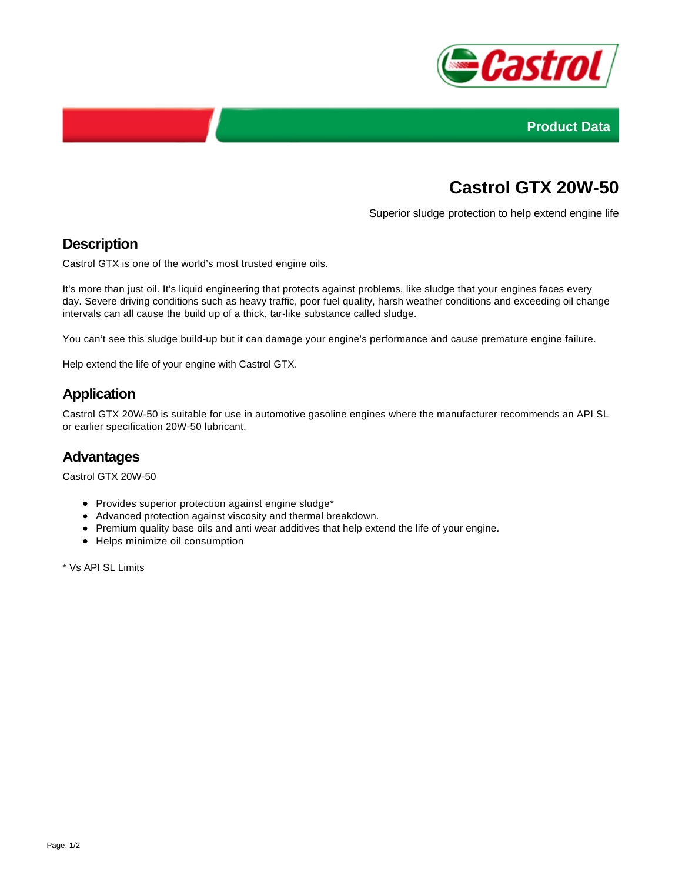



# **Castrol GTX 20W-50**

Superior sludge protection to help extend engine life

# **Description**

Castrol GTX is one of the world's most trusted engine oils.

It's more than just oil. It's liquid engineering that protects against problems, like sludge that your engines faces every day. Severe driving conditions such as heavy traffic, poor fuel quality, harsh weather conditions and exceeding oil change intervals can all cause the build up of a thick, tar-like substance called sludge.

You can't see this sludge build-up but it can damage your engine's performance and cause premature engine failure.

Help extend the life of your engine with Castrol GTX.

# **Application**

Castrol GTX 20W-50 is suitable for use in automotive gasoline engines where the manufacturer recommends an API SL or earlier specification 20W-50 lubricant.

#### **Advantages**

Castrol GTX 20W-50

- Provides superior protection against engine sludge\*
- Advanced protection against viscosity and thermal breakdown.
- Premium quality base oils and anti wear additives that help extend the life of your engine.
- Helps minimize oil consumption

\* Vs API SL Limits